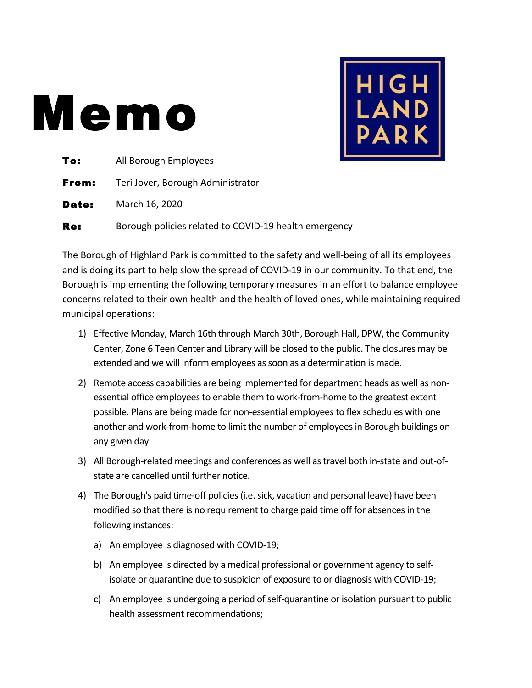## Memo



| To:   | All Borough Employees                                 |
|-------|-------------------------------------------------------|
| From: | Teri Jover, Borough Administrator                     |
| Date: | March 16, 2020                                        |
| Re:   | Borough policies related to COVID-19 health emergency |

The Borough of Highland Park is committed to the safety and well-being of all its employees and is doing its part to help slow the spread of COVID-19 in our community. To that end, the Borough is implementing the following temporary measures in an effort to balance employee concerns related to their own health and the health of loved ones, while maintaining required municipal operations:

- 1) Effective Monday, March 16th through March 30th, Borough Hall, DPW, the Community Center, Zone 6 Teen Center and Library will be closed to the public. The closures may be extended and we will inform employees as soon as a determination is made.
- 2) Remote access capabilities are being implemented for department heads as well as nonessential office employees to enable them to work-from-home to the greatest extent possible. Plans are being made for non-essential employees to flex schedules with one another and work-from-home to limit the number of employees in Borough buildings on any given day.
- 3) All Borough-related meetings and conferences as well as travel both in-state and out-ofstate are cancelled until further notice.
- 4) The Borough's paid time-off policies (i.e. sick, vacation and personal leave) have been modified so that there is no requirement to charge paid time off for absences in the following instances:
	- a) An employee is diagnosed with COVID-19;
	- b) An employee is directed by a medical professional or government agency to selfisolate or quarantine due to suspicion of exposure to or diagnosis with COVID-19;
	- c) An employee is undergoing a period of self-quarantine or isolation pursuant to public health assessment recommendations;